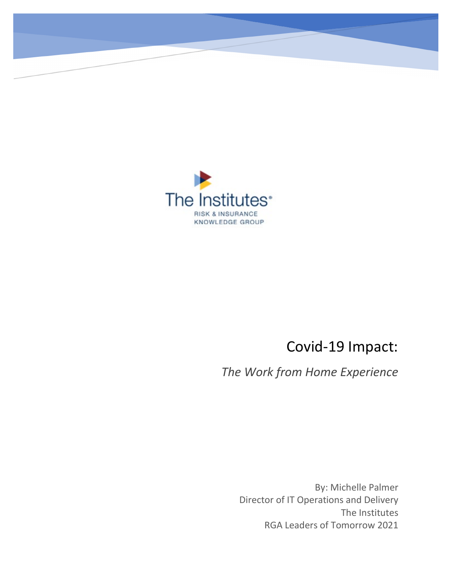

# Covid-19 Impact:

*The Work from Home Experience*

By: Michelle Palmer Director of IT Operations and Delivery The Institutes RGA Leaders of Tomorrow 2021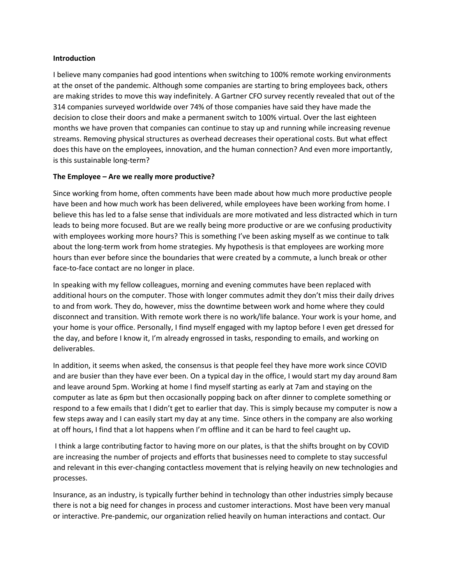#### **Introduction**

I believe many companies had good intentions when switching to 100% remote working environments at the onset of the pandemic. Although some companies are starting to bring employees back, others are making strides to move this way indefinitely. A Gartner CFO survey recently revealed that out of the 314 companies surveyed worldwide over 74% of those companies have said they have made the decision to close their doors and make a permanent switch to 100% virtual. Over the last eighteen months we have proven that companies can continue to stay up and running while increasing revenue streams. Removing physical structures as overhead decreases their operational costs. But what effect does this have on the employees, innovation, and the human connection? And even more importantly, is this sustainable long-term?

### **The Employee – Are we really more productive?**

Since working from home, often comments have been made about how much more productive people have been and how much work has been delivered, while employees have been working from home. I believe this has led to a false sense that individuals are more motivated and less distracted which in turn leads to being more focused. But are we really being more productive or are we confusing productivity with employees working more hours? This is something I've been asking myself as we continue to talk about the long-term work from home strategies. My hypothesis is that employees are working more hours than ever before since the boundaries that were created by a commute, a lunch break or other face-to-face contact are no longer in place.

In speaking with my fellow colleagues, morning and evening commutes have been replaced with additional hours on the computer. Those with longer commutes admit they don't miss their daily drives to and from work. They do, however, miss the downtime between work and home where they could disconnect and transition. With remote work there is no work/life balance. Your work is your home, and your home is your office. Personally, I find myself engaged with my laptop before I even get dressed for the day, and before I know it, I'm already engrossed in tasks, responding to emails, and working on deliverables.

In addition, it seems when asked, the consensus is that people feel they have more work since COVID and are busier than they have ever been. On a typical day in the office, I would start my day around 8am and leave around 5pm. Working at home I find myself starting as early at 7am and staying on the computer as late as 6pm but then occasionally popping back on after dinner to complete something or respond to a few emails that I didn't get to earlier that day. This is simply because my computer is now a few steps away and I can easily start my day at any time. Since others in the company are also working at off hours, I find that a lot happens when I'm offline and it can be hard to feel caught up**.**

I think a large contributing factor to having more on our plates, is that the shifts brought on by COVID are increasing the number of projects and efforts that businesses need to complete to stay successful and relevant in this ever-changing contactless movement that is relying heavily on new technologies and processes.

Insurance, as an industry, is typically further behind in technology than other industries simply because there is not a big need for changes in process and customer interactions. Most have been very manual or interactive. Pre-pandemic, our organization relied heavily on human interactions and contact. Our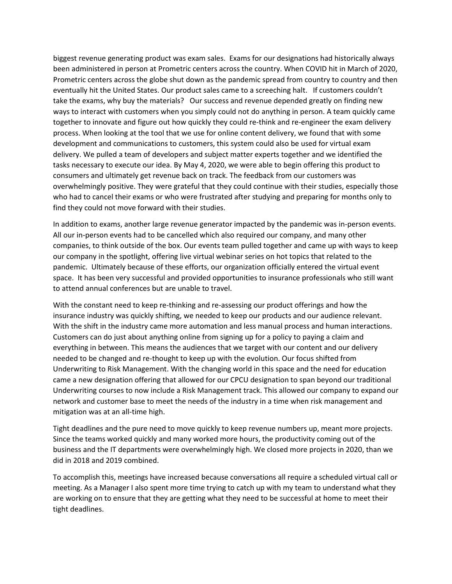biggest revenue generating product was exam sales. Exams for our designations had historically always been administered in person at Prometric centers across the country. When COVID hit in March of 2020, Prometric centers across the globe shut down as the pandemic spread from country to country and then eventually hit the United States. Our product sales came to a screeching halt. If customers couldn't take the exams, why buy the materials? Our success and revenue depended greatly on finding new ways to interact with customers when you simply could not do anything in person. A team quickly came together to innovate and figure out how quickly they could re-think and re-engineer the exam delivery process. When looking at the tool that we use for online content delivery, we found that with some development and communications to customers, this system could also be used for virtual exam delivery. We pulled a team of developers and subject matter experts together and we identified the tasks necessary to execute our idea. By May 4, 2020, we were able to begin offering this product to consumers and ultimately get revenue back on track. The feedback from our customers was overwhelmingly positive. They were grateful that they could continue with their studies, especially those who had to cancel their exams or who were frustrated after studying and preparing for months only to find they could not move forward with their studies.

In addition to exams, another large revenue generator impacted by the pandemic was in-person events. All our in-person events had to be cancelled which also required our company, and many other companies, to think outside of the box. Our events team pulled together and came up with ways to keep our company in the spotlight, offering live virtual webinar series on hot topics that related to the pandemic. Ultimately because of these efforts, our organization officially entered the virtual event space. It has been very successful and provided opportunities to insurance professionals who still want to attend annual conferences but are unable to travel.

With the constant need to keep re-thinking and re-assessing our product offerings and how the insurance industry was quickly shifting, we needed to keep our products and our audience relevant. With the shift in the industry came more automation and less manual process and human interactions. Customers can do just about anything online from signing up for a policy to paying a claim and everything in between. This means the audiences that we target with our content and our delivery needed to be changed and re-thought to keep up with the evolution. Our focus shifted from Underwriting to Risk Management. With the changing world in this space and the need for education came a new designation offering that allowed for our CPCU designation to span beyond our traditional Underwriting courses to now include a Risk Management track. This allowed our company to expand our network and customer base to meet the needs of the industry in a time when risk management and mitigation was at an all-time high.

Tight deadlines and the pure need to move quickly to keep revenue numbers up, meant more projects. Since the teams worked quickly and many worked more hours, the productivity coming out of the business and the IT departments were overwhelmingly high. We closed more projects in 2020, than we did in 2018 and 2019 combined.

To accomplish this, meetings have increased because conversations all require a scheduled virtual call or meeting. As a Manager I also spent more time trying to catch up with my team to understand what they are working on to ensure that they are getting what they need to be successful at home to meet their tight deadlines.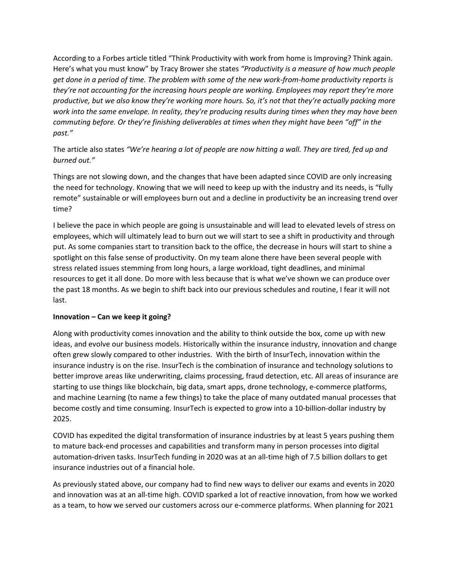According to a Forbes article titled "Think Productivity with work from home is Improving? Think again. Here's what you must know" by Tracy Brower she states *"Productivity is a measure of how much people get done in a period of time. The problem with some of the new work-from-home productivity reports is they're not accounting for the increasing hours people are working. Employees may report they're more productive, but we also know they're working more hours. So, it's not that they're actually packing more work into the same envelope. In reality, they're producing results during times when they may have been commuting before. Or they're finishing deliverables at times when they might have been "off" in the past."*

The article also states *"We're hearing a lot of people are now hitting a wall. They are tired, fed up and burned out."*

Things are not slowing down, and the changes that have been adapted since COVID are only increasing the need for technology. Knowing that we will need to keep up with the industry and its needs, is "fully remote" sustainable or will employees burn out and a decline in productivity be an increasing trend over time?

I believe the pace in which people are going is unsustainable and will lead to elevated levels of stress on employees, which will ultimately lead to burn out we will start to see a shift in productivity and through put. As some companies start to transition back to the office, the decrease in hours will start to shine a spotlight on this false sense of productivity. On my team alone there have been several people with stress related issues stemming from long hours, a large workload, tight deadlines, and minimal resources to get it all done. Do more with less because that is what we've shown we can produce over the past 18 months. As we begin to shift back into our previous schedules and routine, I fear it will not last.

### **Innovation – Can we keep it going?**

Along with productivity comes innovation and the ability to think outside the box, come up with new ideas, and evolve our business models. Historically within the insurance industry, innovation and change often grew slowly compared to other industries. With the birth of InsurTech, innovation within the insurance industry is on the rise. InsurTech is the combination of insurance and technology solutions to better improve areas like underwriting, claims processing, fraud detection, etc. All areas of insurance are starting to use things like blockchain, big data, smart apps, drone technology, e-commerce platforms, and machine Learning (to name a few things) to take the place of many outdated manual processes that become costly and time consuming. InsurTech is expected to grow into a 10-billion-dollar industry by 2025.

COVID has expedited the digital transformation of insurance industries by at least 5 years pushing them to mature back-end processes and capabilities and transform many in person processes into digital automation-driven tasks. InsurTech funding in 2020 was at an all-time high of 7.5 billion dollars to get insurance industries out of a financial hole.

As previously stated above, our company had to find new ways to deliver our exams and events in 2020 and innovation was at an all-time high. COVID sparked a lot of reactive innovation, from how we worked as a team, to how we served our customers across our e-commerce platforms. When planning for 2021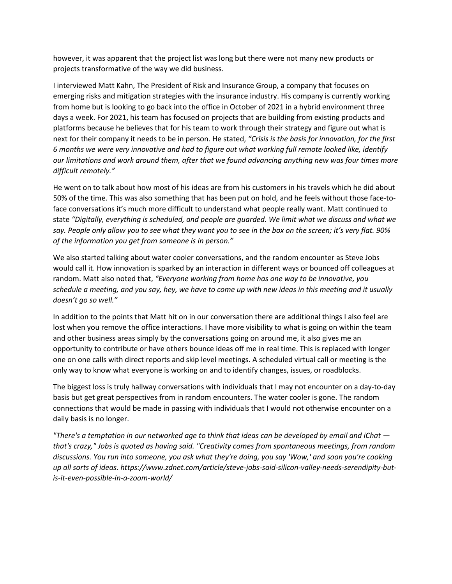however, it was apparent that the project list was long but there were not many new products or projects transformative of the way we did business.

I interviewed Matt Kahn, The President of Risk and Insurance Group, a company that focuses on emerging risks and mitigation strategies with the insurance industry. His company is currently working from home but is looking to go back into the office in October of 2021 in a hybrid environment three days a week. For 2021, his team has focused on projects that are building from existing products and platforms because he believes that for his team to work through their strategy and figure out what is next for their company it needs to be in person. He stated, *"Crisis is the basis for innovation, for the first 6 months we were very innovative and had to figure out what working full remote looked like, identify our limitations and work around them, after that we found advancing anything new was four times more difficult remotely."*

He went on to talk about how most of his ideas are from his customers in his travels which he did about 50% of the time. This was also something that has been put on hold, and he feels without those face-toface conversations it's much more difficult to understand what people really want. Matt continued to state *"Digitally, everything is scheduled, and people are guarded. We limit what we discuss and what we say. People only allow you to see what they want you to see in the box on the screen; it's very flat. 90% of the information you get from someone is in person."* 

We also started talking about water cooler conversations, and the random encounter as Steve Jobs would call it. How innovation is sparked by an interaction in different ways or bounced off colleagues at random. Matt also noted that, *"Everyone working from home has one way to be innovative, you schedule a meeting, and you say, hey, we have to come up with new ideas in this meeting and it usually doesn't go so well."*

In addition to the points that Matt hit on in our conversation there are additional things I also feel are lost when you remove the office interactions. I have more visibility to what is going on within the team and other business areas simply by the conversations going on around me, it also gives me an opportunity to contribute or have others bounce ideas off me in real time. This is replaced with longer one on one calls with direct reports and skip level meetings. A scheduled virtual call or meeting is the only way to know what everyone is working on and to identify changes, issues, or roadblocks.

The biggest loss is truly hallway conversations with individuals that I may not encounter on a day-to-day basis but get great perspectives from in random encounters. The water cooler is gone. The random connections that would be made in passing with individuals that I would not otherwise encounter on a daily basis is no longer.

*"There's a temptation in our networked age to think that ideas can be developed by email and iChat that's crazy," Jobs is quoted as having said. "Creativity comes from spontaneous meetings, from random discussions. You run into someone, you ask what they're doing, you say 'Wow,' and soon you're cooking up all sorts of ideas. [https://www.zdnet.com/article/steve-jobs-said-silicon-valley-needs-serendipity-but](https://www.zdnet.com/article/steve-jobs-said-silicon-valley-needs-serendipity-but-is-it-even-possible-in-a-zoom-world/)[is-it-even-possible-in-a-zoom-world/](https://www.zdnet.com/article/steve-jobs-said-silicon-valley-needs-serendipity-but-is-it-even-possible-in-a-zoom-world/)*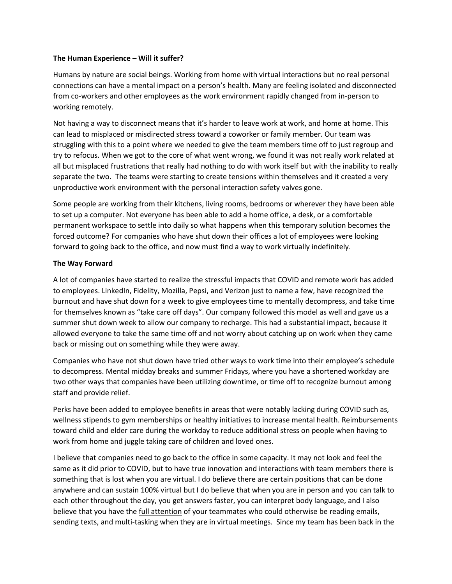### **The Human Experience – Will it suffer?**

Humans by nature are social beings. Working from home with virtual interactions but no real personal connections can have a mental impact on a person's health. Many are feeling isolated and disconnected from co-workers and other employees as the work environment rapidly changed from in-person to working remotely.

Not having a way to disconnect means that it's harder to leave work at work, and home at home. This can lead to misplaced or misdirected stress toward a coworker or family member. Our team was struggling with this to a point where we needed to give the team members time off to just regroup and try to refocus. When we got to the core of what went wrong, we found it was not really work related at all but misplaced frustrations that really had nothing to do with work itself but with the inability to really separate the two. The teams were starting to create tensions within themselves and it created a very unproductive work environment with the personal interaction safety valves gone.

Some people are working from their kitchens, living rooms, bedrooms or wherever they have been able to set up a computer. Not everyone has been able to add a home office, a desk, or a comfortable permanent workspace to settle into daily so what happens when this temporary solution becomes the forced outcome? For companies who have shut down their offices a lot of employees were looking forward to going back to the office, and now must find a way to work virtually indefinitely.

### **The Way Forward**

A lot of companies have started to realize the stressful impacts that COVID and remote work has added to employees. LinkedIn, Fidelity, Mozilla, Pepsi, and Verizon just to name a few, have recognized the burnout and have shut down for a week to give employees time to mentally decompress, and take time for themselves known as "take care off days". Our company followed this model as well and gave us a summer shut down week to allow our company to recharge. This had a substantial impact, because it allowed everyone to take the same time off and not worry about catching up on work when they came back or missing out on something while they were away.

Companies who have not shut down have tried other ways to work time into their employee's schedule to decompress. Mental midday breaks and summer Fridays, where you have a shortened workday are two other ways that companies have been utilizing downtime, or time off to recognize burnout among staff and provide relief.

Perks have been added to employee benefits in areas that were notably lacking during COVID such as, wellness stipends to gym memberships or healthy initiatives to increase mental health. Reimbursements toward child and elder care during the workday to reduce additional stress on people when having to work from home and juggle taking care of children and loved ones.

I believe that companies need to go back to the office in some capacity. It may not look and feel the same as it did prior to COVID, but to have true innovation and interactions with team members there is something that is lost when you are virtual. I do believe there are certain positions that can be done anywhere and can sustain 100% virtual but I do believe that when you are in person and you can talk to each other throughout the day, you get answers faster, you can interpret body language, and I also believe that you have the full attention of your teammates who could otherwise be reading emails, sending texts, and multi-tasking when they are in virtual meetings. Since my team has been back in the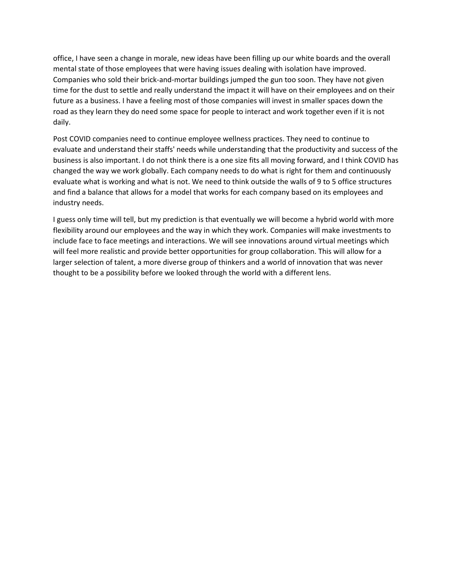office, I have seen a change in morale, new ideas have been filling up our white boards and the overall mental state of those employees that were having issues dealing with isolation have improved. Companies who sold their brick-and-mortar buildings jumped the gun too soon. They have not given time for the dust to settle and really understand the impact it will have on their employees and on their future as a business. I have a feeling most of those companies will invest in smaller spaces down the road as they learn they do need some space for people to interact and work together even if it is not daily.

Post COVID companies need to continue employee wellness practices. They need to continue to evaluate and understand their staffs' needs while understanding that the productivity and success of the business is also important. I do not think there is a one size fits all moving forward, and I think COVID has changed the way we work globally. Each company needs to do what is right for them and continuously evaluate what is working and what is not. We need to think outside the walls of 9 to 5 office structures and find a balance that allows for a model that works for each company based on its employees and industry needs.

I guess only time will tell, but my prediction is that eventually we will become a hybrid world with more flexibility around our employees and the way in which they work. Companies will make investments to include face to face meetings and interactions. We will see innovations around virtual meetings which will feel more realistic and provide better opportunities for group collaboration. This will allow for a larger selection of talent, a more diverse group of thinkers and a world of innovation that was never thought to be a possibility before we looked through the world with a different lens.